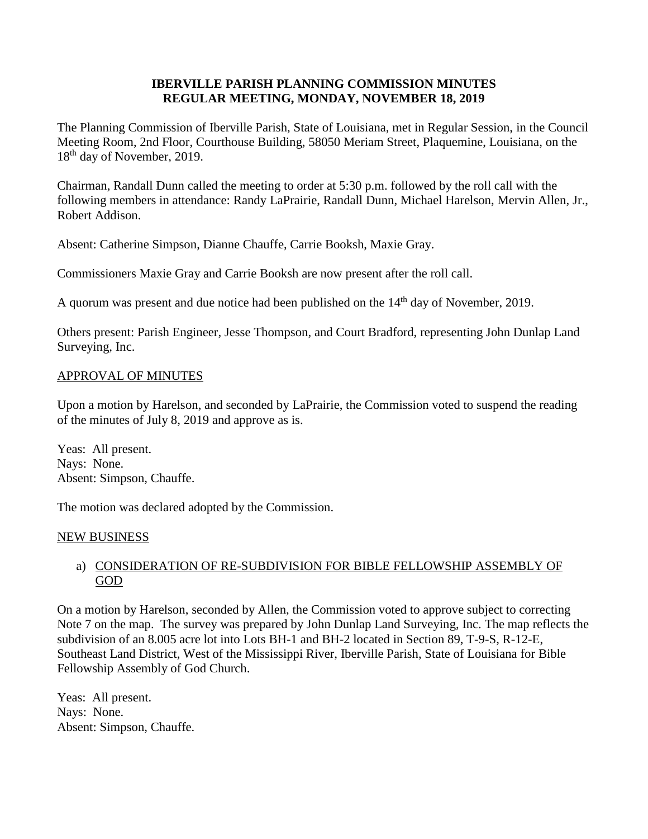## **IBERVILLE PARISH PLANNING COMMISSION MINUTES REGULAR MEETING, MONDAY, NOVEMBER 18, 2019**

The Planning Commission of Iberville Parish, State of Louisiana, met in Regular Session, in the Council Meeting Room, 2nd Floor, Courthouse Building, 58050 Meriam Street, Plaquemine, Louisiana, on the 18<sup>th</sup> day of November, 2019.

Chairman, Randall Dunn called the meeting to order at 5:30 p.m. followed by the roll call with the following members in attendance: Randy LaPrairie, Randall Dunn, Michael Harelson, Mervin Allen, Jr., Robert Addison.

Absent: Catherine Simpson, Dianne Chauffe, Carrie Booksh, Maxie Gray.

Commissioners Maxie Gray and Carrie Booksh are now present after the roll call.

A quorum was present and due notice had been published on the 14<sup>th</sup> day of November, 2019.

Others present: Parish Engineer, Jesse Thompson, and Court Bradford, representing John Dunlap Land Surveying, Inc.

## APPROVAL OF MINUTES

Upon a motion by Harelson, and seconded by LaPrairie, the Commission voted to suspend the reading of the minutes of July 8, 2019 and approve as is.

Yeas: All present. Nays: None. Absent: Simpson, Chauffe.

The motion was declared adopted by the Commission.

#### NEW BUSINESS

# a) CONSIDERATION OF RE-SUBDIVISION FOR BIBLE FELLOWSHIP ASSEMBLY OF GOD

On a motion by Harelson, seconded by Allen, the Commission voted to approve subject to correcting Note 7 on the map. The survey was prepared by John Dunlap Land Surveying, Inc. The map reflects the subdivision of an 8.005 acre lot into Lots BH-1 and BH-2 located in Section 89, T-9-S, R-12-E, Southeast Land District, West of the Mississippi River, Iberville Parish, State of Louisiana for Bible Fellowship Assembly of God Church.

Yeas: All present. Nays: None. Absent: Simpson, Chauffe.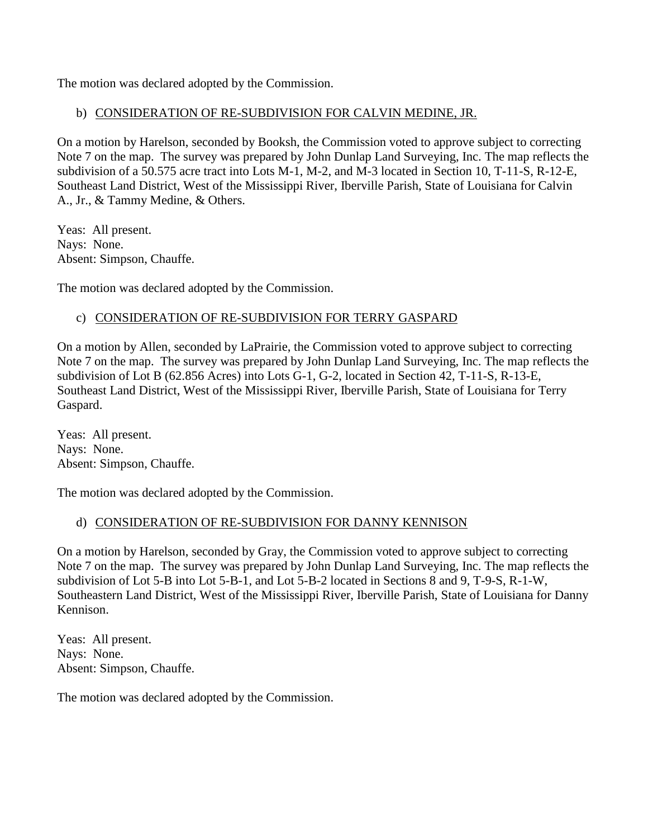The motion was declared adopted by the Commission.

## b) CONSIDERATION OF RE-SUBDIVISION FOR CALVIN MEDINE, JR.

On a motion by Harelson, seconded by Booksh, the Commission voted to approve subject to correcting Note 7 on the map. The survey was prepared by John Dunlap Land Surveying, Inc. The map reflects the subdivision of a 50.575 acre tract into Lots M-1, M-2, and M-3 located in Section 10, T-11-S, R-12-E, Southeast Land District, West of the Mississippi River, Iberville Parish, State of Louisiana for Calvin A., Jr., & Tammy Medine, & Others.

Yeas: All present. Nays: None. Absent: Simpson, Chauffe.

The motion was declared adopted by the Commission.

# c) CONSIDERATION OF RE-SUBDIVISION FOR TERRY GASPARD

On a motion by Allen, seconded by LaPrairie, the Commission voted to approve subject to correcting Note 7 on the map. The survey was prepared by John Dunlap Land Surveying, Inc. The map reflects the subdivision of Lot B (62.856 Acres) into Lots G-1, G-2, located in Section 42, T-11-S, R-13-E, Southeast Land District, West of the Mississippi River, Iberville Parish, State of Louisiana for Terry Gaspard.

Yeas: All present. Nays: None. Absent: Simpson, Chauffe.

The motion was declared adopted by the Commission.

# d) CONSIDERATION OF RE-SUBDIVISION FOR DANNY KENNISON

On a motion by Harelson, seconded by Gray, the Commission voted to approve subject to correcting Note 7 on the map. The survey was prepared by John Dunlap Land Surveying, Inc. The map reflects the subdivision of Lot 5-B into Lot 5-B-1, and Lot 5-B-2 located in Sections 8 and 9, T-9-S, R-1-W, Southeastern Land District, West of the Mississippi River, Iberville Parish, State of Louisiana for Danny Kennison.

Yeas: All present. Nays: None. Absent: Simpson, Chauffe.

The motion was declared adopted by the Commission.